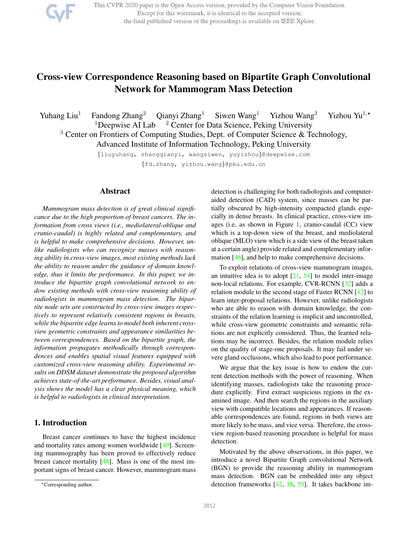

This CVPR 2020 paper is the Open Access version, provided by the Computer Vision Foundation. Except for this watermark, it is identical to the accepted version; the final published version of the proceedings is available on IEEE Xplore.

# Cross-view Correspondence Reasoning based on Bipartite Graph Convolutional Network for Mammogram Mass Detection

Yuhang Liu<sup>1</sup> Fandong Zhang<sup>2</sup> Qianyi Zhang<sup>1</sup> Siwen Wang<sup>1</sup> Yizhou Wang<sup>3</sup> Yizhou Yu<sup>1,</sup>\* <sup>1</sup>Deepwise AI Lab  $^2$  Center for Data Science, Peking University

<sup>3</sup> Center on Frontiers of Computing Studies, Dept. of Computer Science & Technology, Advanced Institute of Information Technology, Peking University

> {liuyuhang, zhangqianyi, wangsiwen, yuyizhou}@deepwise.com {fd.zhang, yizhou.wang}@pku.edu.cn

# Abstract

*Mammogram mass detection is of great clinical significance due to the high proportion of breast cancers. The information from cross views (i.e., mediolateral-oblique and cranio-caudal) is highly related and complementary, and is helpful to make comprehensive decisions. However, unlike radiologists who can recognize masses with reasoning ability in cross-view images, most existing methods lack the ability to reason under the guidance of domain knowledge, thus it limits the performance. In this paper, we introduce the bipartite graph convolutional network to endow existing methods with cross-view reasoning ability of radiologists in mammogram mass detection. The bipartite node sets are constructed by cross-view images respectively to represent relatively consistent regions in breasts, while the bipartite edge learns to model both inherent crossview geometric constraints and appearance similarities between correspondences. Based on the bipartite graph, the information propagates methodically through correspondences and enables spatial visual features equipped with customized cross-view reasoning ability. Experimental results on DDSM dataset demonstrate the proposed algorithm achieves state-of-the-art performance. Besides, visual analysis shows the model has a clear physical meaning, which is helpful to radiologists in clinical interpretation.*

# 1. Introduction

Breast cancer continues to have the highest incidence and mortality rates among women worldwide [49]. Screening mammography has been proved to effectively reduce breast cancer mortality [48]. Mass is one of the most important signs of breast cancer. However, mammogram mass detection is challenging for both radiologists and computeraided detection (CAD) system, since masses can be partially obscured by high-intensity compacted glands especially in dense breasts. In clinical practice, cross-view images (i.e, as shown in Figure 1, cranio-caudal (CC) view which is a top-down view of the breast, and mediolateral oblique (MLO) view which is a side view of the breast taken at a certain angle) provide related and complementary information [46], and help to make comprehensive decisions.

To exploit relations of cross-view mammogram images, an intuitive idea is to adopt  $[21, 54]$  to model inter-image non-local relations. For example, CVR-RCNN [32] adds a relation module to the second stage of Faster RCNN [42] to learn inter-proposal relations. However, unlike radiologists who are able to reason with domain knowledge, the constraints of the relation learning is implicit and uncontrolled, while cross-view geometric constraints and semantic relations are not explicitly considered. Thus, the learned relations may be incorrect. Besides, the relation module relies on the quality of stage-one proposals. It may fail under severe gland occlusions, which also lead to poor performance.

We argue that the key issue is how to endow the current detection methods with the power of reasoning. When identifying masses, radiologists take the reasoning procedure explicitly. First extract suspicious regions in the examined image. And then search the regions in the auxiliary view with compatible locations and appearances. If reasonable correspondences are found, regions in both views are more likely to be mass, and vice versa. Therefore, the crossview region-based reasoning procedure is helpful for mass detection.

Motivated by the above observations, in this paper, we introduce a novel Bipartite Graph convolutional Network (BGN) to provide the reasoning ability in mammogram mass detection. BGN can be embedded into any object detection frameworks [42, 18, 59]. It takes backbone im-

<sup>∗</sup>Corresponding author.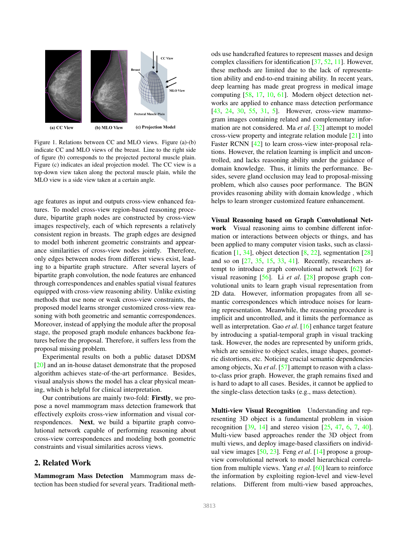

Figure 1. Relations between CC and MLO views. Figure (a)-(b) indicate CC and MLO views of the breast. Line to the right side of figure (b) corresponds to the projected pectoral muscle plain. Figure (c) indicates an ideal projection model. The CC view is a top-down view taken along the pectoral muscle plain, while the MLO view is a side view taken at a certain angle.

age features as input and outputs cross-view enhanced features. To model cross-view region-based reasoning procedure, bipartite graph nodes are constructed by cross-view images respectively, each of which represents a relatively consistent region in breasts. The graph edges are designed to model both inherent geometric constraints and appearance similarities of cross-view nodes jointly. Therefore, only edges between nodes from different views exist, leading to a bipartite graph structure. After several layers of bipartite graph convolution, the node features are enhanced through correspondences and enables spatial visual features equipped with cross-view reasoning ability. Unlike existing methods that use none or weak cross-view constraints, the proposed model learns stronger customized cross-view reasoning with both geometric and semantic correspondences. Moreover, instead of applying the module after the proposal stage, the proposed graph module enhances backbone features before the proposal. Therefore, it suffers less from the proposal missing problem.

Experimental results on both a public dataset DDSM [20] and an in-house dataset demonstrate that the proposed algorithm achieves state-of-the-art performance. Besides, visual analysis shows the model has a clear physical meaning, which is helpful for clinical interpretation.

Our contributions are mainly two-fold: Firstly, we propose a novel mammogram mass detection framework that effectively exploits cross-view information and visual correspondences. Next, we build a bipartite graph convolutional network capable of performing reasoning about cross-view correspondences and modeling both geometric constraints and visual similarities across views.

# 2. Related Work

Mammogram Mass Detection Mammogram mass detection has been studied for several years. Traditional methods use handcrafted features to represent masses and design complex classifiers for identification [37, 52, 11]. However, these methods are limited due to the lack of representation ability and end-to-end training ability. In recent years, deep learning has made great progress in medical image computing [58, 17, 10, 61]. Modern object detection networks are applied to enhance mass detection performance [43, 24, 30, 55, 31, 5]. However, cross-view mammogram images containing related and complementary information are not considered. Ma *et al*. [32] attempt to model cross-view property and integrate relation module [21] into Faster RCNN [42] to learn cross-view inter-proposal relations. However, the relation learning is implicit and uncontrolled, and lacks reasoning ability under the guidance of domain knowledge. Thus, it limits the performance. Besides, severe gland occlusion may lead to proposal-missing problem, which also causes poor performance. The BGN provides reasoning ability with domain knowledge , which helps to learn stronger customized feature enhancement.

Visual Reasoning based on Graph Convolutional Network Visual reasoning aims to combine different information or interactions between objects or things, and has been applied to many computer vision tasks, such as classification  $[1, 34]$ , object detection  $[8, 22]$ , segmentation  $[28]$ and so on  $[27, 35, 15, 33, 41]$ . Recently, researchers attempt to introduce graph convolutional network [62] for visual reasoning [56]. Li *et al*. [28] propose graph convolutional units to learn graph visual representation from 2D data. However, information propagates from all semantic correspondences which introduce noises for learning representation. Meanwhile, the reasoning procedure is implicit and uncontrolled, and it limits the performance as well as interpretation. Gao *et al*. [16] enhance target feature by introducing a spatial-temporal graph in visual tracking task. However, the nodes are represented by uniform grids, which are sensitive to object scales, image shapes, geometric distortions, etc. Noticing crucial semantic dependencies among objects, Xu *et al*. [57] attempt to reason with a classto-class prior graph. However, the graph remains fixed and is hard to adapt to all cases. Besides, it cannot be applied to the single-class detection tasks (e.g., mass detection).

Multi-view Visual Recognition Understanding and representing 3D object is a fundamental problem in vision recognition  $[39, 14]$  and stereo vision  $[25, 47, 6, 7, 40]$ . Multi-view based approaches render the 3D object from multi views, and deploy image-based classifiers on individual view images [50, 23]. Feng *et al*. [14] propose a groupview convolutional network to model hierarchical correlation from multiple views. Yang *et al*. [60] learn to reinforce the information by exploiting region-level and view-level relations. Different from multi-view based approaches,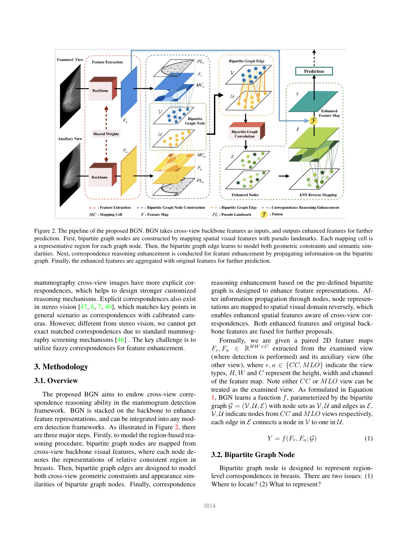

Figure 2. The pipeline of the proposed BGN. BGN takes cross-view backbone features as inputs, and outputs enhanced features for further prediction. First, bipartite graph nodes are constructed by mapping spatial visual features with pseudo landmarks. Each mapping cell is a representative region for each graph node. Then, the bipartite graph edge learns to model both geometric constraints and semantic similarities. Next, correspondence reasoning enhancement is conducted for feature enhancement by propagating information on the bipartite graph. Finally, the enhanced features are aggregated with original features for further prediction.

mammography cross-view images have more explicit correspondences, which helps to design stronger customized reasoning mechanisms. Explicit correspondences also exist in stereo vision  $[47, 6, 7, 40]$ , which matches key points in general scenario as correspondences with calibrated cameras. However, different from stereo vision, we cannot get exact matched correspondences due to standard mammography screening mechanisms [46] . The key challenge is to utilize fuzzy correspondences for feature enhancement.

# 3. Methodology

#### 3.1. Overview

The proposed BGN aims to endow cross-view correspondence reasoning ability in the mammogram detection framework. BGN is stacked on the backbone to enhance feature representations, and can be integrated into any modern detection frameworks. As illustrated in Figure 2, there are three major steps. Firstly, to model the region-based reasoning procedure, bipartite graph nodes are mapped from cross-view backbone visual features, where each node denotes the representations of relative consistent region in breasts. Then, bipartite graph edges are designed to model both cross-view geometric constraints and appearance similarities of bipartite graph nodes. Finally, correspondence reasoning enhancement based on the pre-defined bipartite graph is designed to enhance feature representations. After information propagation through nodes, node representations are mapped to spatial visual domain reversely, which enables enhanced spatial features aware of cross-view correspondences. Both enhanced features and original backbone features are fused for further proposals.

Formally, we are given a paired 2D feature maps  $F_e, F_a \in \mathbb{R}^{HW \times C}$  extracted from the examined view (where detection is performed) and its auxiliary view (the other view), where  $e, a \in \{CC, MLO\}$  indicate the view types,  $H, W$  and  $C$  represent the height, width and channel of the feature map. Note either CC or MLO view can be treated as the examined view. As formulated in Equation 1, BGN learns a function  $f$ , parameterized by the bipartite graph  $\mathcal{G} = (\mathcal{V}, \mathcal{U}, \mathcal{E})$  with node sets as  $\mathcal{V}, \mathcal{U}$  and edges as  $\mathcal{E}$ .  $V, U$  indicate nodes from CC and MLO views respectively, each edge in  $\mathcal E$  connects a node in  $\mathcal V$  to one in  $\mathcal U$ .

$$
Y = f(F_e, F_a; \mathcal{G}) \tag{1}
$$

# 3.2. Bipartite Graph Node

Bipartite graph node is designed to represent regionlevel correspondences in breasts. There are two issues: (1) Where to locate? (2) What to represent?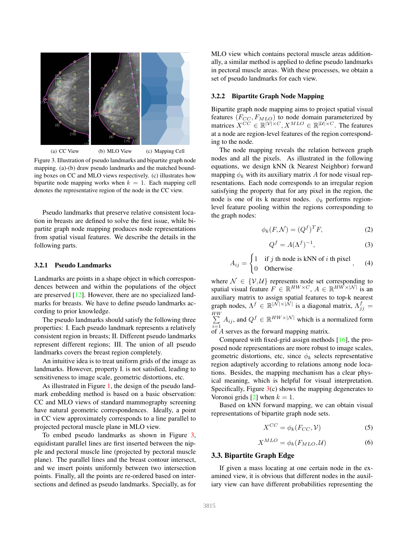

Figure 3. Illustration of pseudo landmarks and bipartite graph node mapping. (a)-(b) draw pseudo landmarks and the matched bounding boxes on CC and MLO views respectively. (c) illustrates how bipartite node mapping works when  $k = 1$ . Each mapping cell denotes the representative region of the node in the CC view.

Pseudo landmarks that preserve relative consistent location in breasts are defined to solve the first issue, while bipartite graph node mapping produces node representations from spatial visual features. We describe the details in the following parts.

#### 3.2.1 Pseudo Landmarks

Landmarks are points in a shape object in which correspondences between and within the populations of the object are preserved [12]. However, there are no specialized landmarks for breasts. We have to define pseudo landmarks according to prior knowledge.

The pseudo landmarks should satisfy the following three properties: I. Each pseudo landmark represents a relatively consistent region in breasts; II. Different pseudo landmarks represent different regions; III. The union of all pseudo landmarks covers the breast region completely.

An intuitive idea is to treat uniform grids of the image as landmarks. However, property I. is not satisfied, leading to sensitiveness to image scale, geometric distortions, etc.

As illustrated in Figure 1, the design of the pseudo landmark embedding method is based on a basic observation: CC and MLO views of standard mammography screening have natural geometric correspondences. Ideally, a point in CC view approximately corresponds to a line parallel to projected pectoral muscle plane in MLO view.

To embed pseudo landmarks as shown in Figure 3, equidistant parallel lines are first inserted between the nipple and pectoral muscle line (projected by pectoral muscle plane). The parallel lines and the breast contour intersect, and we insert points uniformly between two intersection points. Finally, all the points are re-ordered based on intersections and defined as pseudo landmarks. Specially, as for MLO view which contains pectoral muscle areas additionally, a similar method is applied to define pseudo landmarks in pectoral muscle areas. With these processes, we obtain a set of pseudo landmarks for each view.

#### 3.2.2 Bipartite Graph Node Mapping

Bipartite graph node mapping aims to project spatial visual features  $(F_{CC}, F_{MLO})$  to node domain parameterized by matrices  $X^{CC} \in \mathbb{R}^{|\mathcal{V}| \times C}, X^{MLO} \in \mathbb{R}^{|\mathcal{U}| \times C}$ . The features at a node are region-level features of the region corresponding to the node.

The node mapping reveals the relation between graph nodes and all the pixels. As illustrated in the following equations, we design kNN (k Nearest Neighbor) forward mapping  $\phi_k$  with its auxiliary matrix A for node visual representations. Each node corresponds to an irregular region satisfying the property that for any pixel in the region, the node is one of its k nearest nodes.  $\phi_k$  performs regionlevel feature pooling within the regions corresponding to the graph nodes:

$$
\phi_k(F, \mathcal{N}) = (Q^f)^T F,\tag{2}
$$

$$
Q^f = A(\Lambda^f)^{-1},\tag{3}
$$

$$
A_{ij} = \begin{cases} 1 & \text{if } j \text{ th node is kNN of } i \text{ th pixel} \\ 0 & \text{Otherwise} \end{cases}
$$
, (4)

where  $\mathcal{N} \in \{\mathcal{V}, \mathcal{U}\}\$  represents node set corresponding to spatial visual feature  $F \in \mathbb{R}^{HW \times C}$ ,  $A \in \mathbb{R}^{HW \times |{\cal N}|}$  is an auxiliary matrix to assign spatial features to top-k nearest graph nodes,  $\Lambda^f \in \mathbb{R}^{|\mathcal{\bar{N}}| \times |\mathcal{\bar{N}}|}$  is a diagonal matrix,  $\Lambda^f_{jj} =$  $\sum$  $\sum_{i=1}^{N} A_{ij}$ , and  $Q^f \in \mathbb{R}^{HW \times |\mathcal{N}|}$  which is a normalized form

of A serves as the forward mapping matrix.

Compared with fixed-grid assign methods [16], the proposed node representations are more robust to image scales, geometric distortions, etc, since  $\phi_k$  selects representative region adaptively according to relations among node locations. Besides, the mapping mechanism has a clear physical meaning, which is helpful for visual interpretation. Specifically, Figure  $3(c)$  shows the mapping degenerates to Voronoi grids  $[2]$  when  $k = 1$ .

Based on kNN forward mapping, we can obtain visual representations of bipartite graph node sets.

$$
X^{CC} = \phi_k(F_{CC}, \mathcal{V})
$$
 (5)

$$
X^{MLO} = \phi_k(F_{MLO}, \mathcal{U})
$$
 (6)

# 3.3. Bipartite Graph Edge

If given a mass locating at one certain node in the examined view, it is obvious that different nodes in the auxiliary view can have different probabilities representing the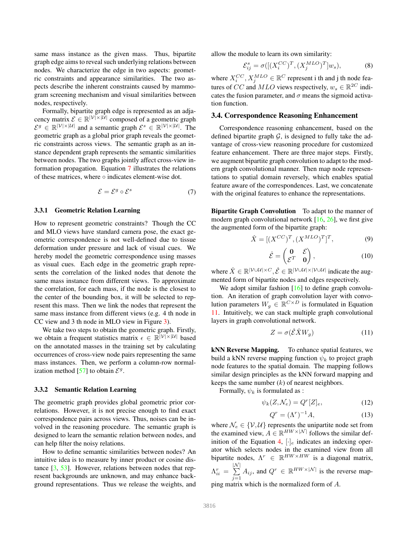same mass instance as the given mass. Thus, bipartite graph edge aims to reveal such underlying relations between nodes. We characterize the edge in two aspects: geometric constraints and appearance similarities. The two aspects describe the inherent constraints caused by mammogram screening mechanism and visual similarities between nodes, respectively.

Formally, bipartite graph edge is represented as an adjacency matrix  $\mathcal{E} \in \mathbb{R}^{|\mathcal{V}| \times |\mathcal{U}|}$  composed of a geometric graph  $\mathcal{E}^g \in \mathbb{R}^{|\mathcal{V}| \times |\mathcal{U}|}$  and a semantic graph  $\mathcal{E}^s \in \mathbb{R}^{|\mathcal{V}| \times |\mathcal{U}|}$ . The geometric graph as a global prior graph reveals the geometric constraints across views. The semantic graph as an instance dependent graph represents the semantic similarities between nodes. The two graphs jointly affect cross-view information propagation. Equation 7 illustrates the relations of these matrices, where ◦ indicates element-wise dot.

$$
\mathcal{E} = \mathcal{E}^g \circ \mathcal{E}^s \tag{7}
$$

#### 3.3.1 Geometric Relation Learning

How to represent geometric constraints? Though the CC and MLO views have standard camera pose, the exact geometric correspondence is not well-defined due to tissue deformation under pressure and lack of visual cues. We hereby model the geometric correspondence using masses as visual cues. Each edge in the geometric graph represents the correlation of the linked nodes that denote the same mass instance from different views. To approximate the correlation, for each mass, if the node is the closest to the center of the bounding box, it will be selected to represent this mass. Then we link the nodes that represent the same mass instance from different views (e.g. 4 th node in CC view and 3 th node in MLO view in Figure 3).

We take two steps to obtain the geometric graph. Firstly, we obtain a frequent statistics matrix  $\epsilon \in \mathbb{R}^{|\mathcal{V}| \times |\mathcal{U}|}$  based on the annotated masses in the training set by calculating occurrences of cross-view node pairs representing the same mass instances. Then, we perform a column-row normalization method [57] to obtain  $\mathcal{E}^g$ .

#### 3.3.2 Semantic Relation Learning

The geometric graph provides global geometric prior correlations. However, it is not precise enough to find exact correspondence pairs across views. Thus, noises can be involved in the reasoning procedure. The semantic graph is designed to learn the semantic relation between nodes, and can help filter the noisy relations.

How to define semantic similarities between nodes? An intuitive idea is to measure by inner product or cosine distance [3, 53]. However, relations between nodes that represent backgrounds are unknown, and may enhance background representations. Thus we release the weights, and

allow the module to learn its own similarity:

$$
\mathcal{E}_{ij}^s = \sigma([[X_i^{CC})^T, (X_j^{MLO})^T]w_s),\tag{8}
$$

where  $X_i^{CC}, X_j^{MLO} \in \mathbb{R}^C$  represent i th and j th node features of CC and MLO views respectively,  $w_s \in \mathbb{R}^{2C}$  indicates the fusion parameter, and  $\sigma$  means the sigmoid activation function.

#### 3.4. Correspondence Reasoning Enhancement

Correspondence reasoning enhancement, based on the defined bipartite graph  $G$ , is designed to fully take the advantage of cross-view reasoning procedure for customized feature enhancement. There are three major steps. Firstly, we augment bipartite graph convolution to adapt to the modern graph convolutional manner. Then map node representations to spatial domain reversely, which enables spatial feature aware of the correspondences. Last, we concatenate with the original features to enhance the representations.

Bipartite Graph Convolution To adapt to the manner of modern graph convolutional network  $[16, 26]$ , we first give the augmented form of the bipartite graph:

$$
\hat{X} = [(X^{CC})^T, (X^{MLO})^T]^T,\tag{9}
$$

$$
\hat{\mathcal{E}} = \begin{pmatrix} \mathbf{0} & \mathcal{E} \\ \mathcal{E}^T & \mathbf{0} \end{pmatrix},\tag{10}
$$

where  $\hat{X} \in \mathbb{R}^{|\mathcal{V} \cup \mathcal{U}| \times C}, \hat{\mathcal{E}} \in \mathbb{R}^{|\mathcal{V} \cup \mathcal{U}| \times |\mathcal{V} \cup \mathcal{U}|}$  indicate the augmented form of bipartite nodes and edges respectively.

We adopt similar fashion  $[16]$  to define graph convolution. An iteration of graph convolution layer with convolution parameters  $W_g \in \mathbb{R}^{C \times D}$  is formulated in Equation 11. Intuitively, we can stack multiple graph convolutional layers in graph convolutional network.

$$
Z = \sigma(\hat{\mathcal{E}} \hat{X} W_g) \tag{11}
$$

kNN Reverse Mapping. To enhance spatial features, we build a kNN reverse mapping function  $\psi_k$  to project graph node features to the spatial domain. The mapping follows similar design principles as the kNN forward mapping and keeps the same number  $(k)$  of nearest neighbors.

Formally,  $\psi_k$  is formulated as :

$$
\psi_k(Z, \mathcal{N}_e) = Q^r[Z]_e,\tag{12}
$$

$$
Q^r = (\Lambda^r)^{-1} A,\tag{13}
$$

where  $\mathcal{N}_e \in \{V, \mathcal{U}\}\$  represents the unipartite node set from the examined view,  $A \in \mathbb{R}^{HW \times |N|}$  follows the similar definition of the Equation 4,  $[\cdot]_e$  indicates an indexing operator which selects nodes in the examined view from all bipartite nodes,  $\Lambda^r \in \mathbb{R}^{HW \times HW}$  is a diagonal matrix,  $\Lambda_{ii}^r =$  $|\mathcal{N}|$  $\sum$  $\sum_{j=1}^{n} A_{ij}$ , and  $Q^r \in \mathbb{R}^{HW \times |{\cal N}|}$  is the reverse map-

ping matrix which is the normalized form of A.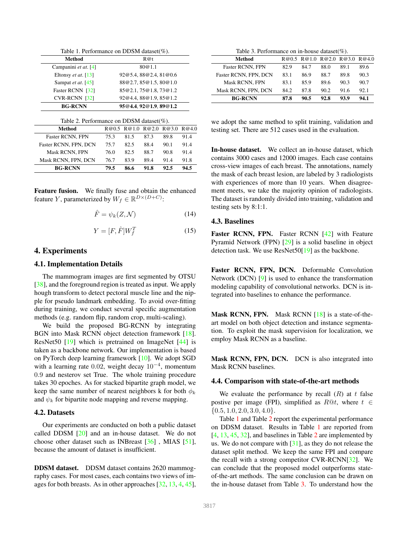| Table 1. Performance on DDSM dataset( $\%$ ). |       |                        |       |       |       |  |
|-----------------------------------------------|-------|------------------------|-------|-------|-------|--|
| Method                                        | R@t   |                        |       |       |       |  |
| Campanini et at. [4]                          |       |                        |       |       |       |  |
| Eltonsy <i>et at.</i> [13]                    |       | 92@5.4,88@2.4,81@0.6   |       |       |       |  |
| Sampat et at. [45]                            |       | 88@2.7,85@1.5,80@1.0   |       |       |       |  |
| Faster RCNN [32]                              |       | 85@2.1.75@1.8.73@1.2   |       |       |       |  |
| $CVR$ -RCNN $[32]$                            |       | 92@4.4,88@1.9,85@1.2   |       |       |       |  |
| <b>BG-RCNN</b>                                |       | 95@4.4, 92@1.9, 89@1.2 |       |       |       |  |
| Table 2. Performance on DDSM dataset( $\%$ ). |       |                        |       |       |       |  |
| <b>Method</b>                                 | R@0.5 | R@1.0                  | R@2.0 | R@3.0 | R@4.0 |  |
| <b>Faster RCNN, FPN</b>                       | 75.3  | 81.5                   | 87.3  | 89.8  | 91.4  |  |
| Faster RCNN, FPN, DCN                         | 75.7  | 82.5                   | 88.4  | 90.1  | 91.4  |  |
| Mask RCNN, FPN                                | 76.0  | 82.5                   | 88.7  | 90.8  | 91.4  |  |
| Mask RCNN, FPN, DCN                           | 76.7  | 83.9                   | 89.4  | 91.4  | 91.8  |  |
| <b>BG-RCNN</b>                                | 79.5  | 86.6                   | 91.8  | 92.5  | 94.5  |  |

Feature fusion. We finally fuse and obtain the enhanced feature Y, parameterized by  $W_f \in \mathbb{R}^{D \times (D+C)}$ :

$$
\hat{F} = \psi_k(Z, \mathcal{N}) \tag{14}
$$

$$
Y = [F, \hat{F}]W_f^T \tag{15}
$$

# 4. Experiments

# 4.1. Implementation Details

The mammogram images are first segmented by OTSU [38], and the foreground region is treated as input. We apply hough transform to detect pectoral muscle line and the nipple for pseudo landmark embedding. To avoid over-fitting during training, we conduct several specific augmentation methods (e.g. random flip, random crop, multi-scaling).

We build the proposed BG-RCNN by integrating BGN into Mask RCNN object detection framework [18]. ResNet50 [19] which is pretrained on ImageNet [44] is taken as a backbone network. Our implementation is based on PyTorch deep learning framework [10]. We adopt SGD with a learning rate 0.02, weight decay  $10^{-4}$ , momentum 0.9 and nesterov set True. The whole training procedure takes 30 epoches. As for stacked bipartite graph model, we keep the same number of nearest neighbors k for both  $\phi_k$ and  $\psi_k$  for bipartite node mapping and reverse mapping.

#### 4.2. Datasets

Our experiments are conducted on both a public dataset called DDSM [20] and an in-house dataset. We do not choose other dataset such as INBreast [36] , MIAS [51], because the amount of dataset is insufficient.

DDSM dataset. DDSM dataset contains 2620 mammography cases. For most cases, each contains two views of images for both breasts. As in other approaches [32, 13, 4, 45],

Table 3. Performance on in-house dataset(%).

| 82.9 | 84.7 | 88.0 | 89.1 | 89.6                          |  |  |
|------|------|------|------|-------------------------------|--|--|
| 83.1 | 86.9 | 88.7 | 89.8 | 90.3                          |  |  |
| 83.1 | 85.9 | 89.6 | 90.3 | 90.7                          |  |  |
| 84.2 | 87.8 | 90.2 | 91.6 | 92.1                          |  |  |
| 87.8 | 90.5 | 92.8 | 93.9 | 94.1                          |  |  |
|      |      |      |      | R@0.5 R@1.0 R@2.0 R@3.0 R@4.0 |  |  |

we adopt the same method to split training, validation and testing set. There are 512 cases used in the evaluation.

In-house dataset. We collect an in-house dataset, which contains 3000 cases and 12000 images. Each case contains cross-view images of each breast. The annotations, namely the mask of each breast lesion, are labeled by 3 radiologists with experiences of more than 10 years. When disagreement meets, we take the majority opinion of radiologists. The dataset is randomly divided into training, validation and testing sets by 8:1:1.

### 4.3. Baselines

Faster RCNN, FPN. Faster RCNN [42] with Feature Pyramid Network (FPN) [29] is a solid baseline in object detection task. We use ResNet50[19] as the backbone.

Faster RCNN, FPN, DCN. Deformable Convolution Network (DCN) [9] is used to enhance the transformation modeling capability of convolutional networks. DCN is integrated into baselines to enhance the performance.

Mask RCNN, FPN. Mask RCNN [18] is a state-of-theart model on both object detection and instance segmentation. To exploit the mask supervision for localization, we employ Mask RCNN as a baseline.

Mask RCNN, FPN, DCN. DCN is also integrated into Mask RCNN baselines.

### 4.4. Comparison with state-of-the-art methods

We evaluate the performance by recall  $(R)$  at t false postive per image (FPI), simplified as  $R@t$ , where  $t \in$  $\{0.5, 1.0, 2.0, 3.0, 4.0\}.$ 

Table 1 and Table 2 report the experimental performance on DDSM dataset. Results in Table 1 are reported from [4, 13, 45, 32], and baselines in Table 2 are implemented by us. We do not compare with [31], as they do not release the dataset split method. We keep the same FPI and compare the recall with a strong competitor CVR-RCNN[32]. We can conclude that the proposed model outperforms stateof-the-art methods. The same conclusion can be drawn on the in-house dataset from Table 3. To understand how the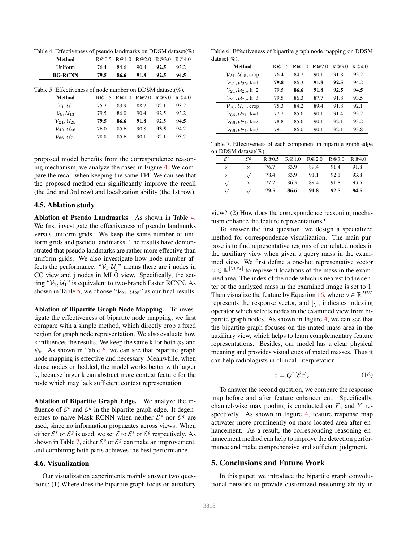Table 4. Effectiveness of pseudo landmarks on DDSM dataset(%).

| <b>Method</b>                                             | R@0.5 | R@1.0 | R@2.0 | R@3.0 | R@4.0 |
|-----------------------------------------------------------|-------|-------|-------|-------|-------|
| Uniform                                                   | 76.4  | 84.6  | 90.4  | 92.5  | 93.2  |
| <b>BG-RCNN</b>                                            | 79.5  | 86.6  | 91.8  | 92.5  | 94.5  |
| Table 5. Effectiveness of node number on DDSM dataset(%). |       |       |       |       |       |
| Method                                                    | R@0.5 | R@1.0 | R@2.0 | R@3.0 | R@4.0 |
| $\mathcal{V}_1, \mathcal{U}_1$                            | 75.7  | 83.9  | 88.7  | 92.1  | 93.2  |
| $\mathcal{V}_9, \mathcal{U}_{13}$                         | 79.5  | 86.0  | 90.4  | 92.5  | 93.2  |
| $V_{21}, \mathcal{U}_{25}$                                | 79.5  | 86.6  | 91.8  | 92.5  | 94.5  |
| $V_{42}$ , $U_{46}$                                       | 76.0  | 85.6  | 90.8  | 93.5  | 94.2  |
| $\mathcal{V}_{66}, \mathcal{U}_{71}$                      | 78.8  | 85.6  | 90.1  | 92.1  | 93.2  |
|                                                           |       |       |       |       |       |

proposed model benefits from the correspondence reasoning mechanism, we analyze the cases in Figure 4. We compare the recall when keeping the same FPI. We can see that the proposed method can significantly improve the recall (the 2nd and 3rd row) and localization ability (the 1st row).

### 4.5. Ablation study

Ablation of Pseudo Landmarks As shown in Table 4, We first investigate the effectiveness of pseudo landmarks versus uniform grids. We keep the same number of uniform grids and pseudo landmarks. The results have demonstrated that pseudo landmarks are rather more effective than uniform grids. We also investigate how node number affects the performance. " $V_i$ ,  $U_j$ " means there are i nodes in CC view and j nodes in MLO view. Specifically, the setting " $V_1$ ,  $U_1$ " is equivalent to two-branch Faster RCNN. As shown in Table 5, we choose " $V_{21}$ ,  $U_{25}$ " as our final results.

Ablation of Bipartite Graph Node Mapping. To investigate the effectiveness of bipartite node mapping, we first compare with a simple method, which directly crop a fixed region for graph node representation. We also evaluate how k influences the results. We keep the same k for both  $\phi_k$  and  $\psi_k$ . As shown in Table 6, we can see that bipartite graph node mapping is effective and necessary. Meanwhile, when dense nodes embedded, the model works better with larger k, because larger k can abstract more context feature for the node which may lack sufficient context representation.

Ablation of Bipartite Graph Edge. We analyze the influence of  $\mathcal{E}^s$  and  $\mathcal{E}^g$  in the bipartite graph edge. It degenerates to naive Mask RCNN when neither  $\mathcal{E}^s$  nor  $\mathcal{E}^g$  are used, since no information propagates across views. When either  $\mathcal{E}^s$  or  $\mathcal{E}^g$  is used, we set  $\mathcal E$  to  $\mathcal E^s$  or  $\mathcal E^g$  respectively. As shown in Table 7, either  $\mathcal{E}^s$  or  $\mathcal{E}^g$  can make an improvement, and combining both parts achieves the best performance.

#### 4.6. Visualization

Our visualization experiments mainly answer two questions: (1) Where does the bipartite graph focus on auxiliary

Table 6. Effectiveness of bipartite graph node mapping on DDSM dataset(%).

| Method                                      | R@05 | R@10 | R@20 | R@3.0 | R@4.0 |
|---------------------------------------------|------|------|------|-------|-------|
| $\mathcal{V}_{21}, \mathcal{U}_{25}$ , crop | 76.4 | 84.2 | 90.1 | 91.8  | 93.2  |
| $V_{21}, U_{25}, k=1$                       | 79.8 | 86.3 | 91.8 | 92.5  | 94.2  |
| $V_{21}$ , $U_{25}$ , k=2                   | 79.5 | 86.6 | 91.8 | 92.5  | 94.5  |
| $V_{21}$ , $U_{25}$ , k=3                   | 79.5 | 86.3 | 87.7 | 91.8  | 93.5  |
| $V_{66}$ , $U_{71}$ , crop                  | 75.3 | 84.2 | 89.4 | 91.8  | 92.1  |
| $V_{66}, U_{71}, k=1$                       | 77.7 | 85.6 | 90.1 | 91.4  | 93.2  |
| $V_{66}$ , $U_{71}$ , k=2                   | 78.8 | 85.6 | 90.1 | 92.1  | 93.2  |
| $V_{66}$ , $U_{71}$ , k=3                   | 79.1 | 86.0 | 90.1 | 92.1  | 93.8  |

Table 7. Effectiveness of each component in bipartite graph edge on DDSM dataset(%).

| $\mathcal{E}^s$ | $\xi$    |      | R@0.5 R@1.0 | R@2.0 | R@3.0 | R@4.0 |
|-----------------|----------|------|-------------|-------|-------|-------|
| $\times$        | $\times$ | 76.7 | 83.9        | 89.4  | 91.4  | 91.8  |
| $\times$        |          | 78.4 | 83.9        | 91.1  | 92.1  | 93.8  |
|                 | $\times$ | 77.7 | 86.3        | 89.4  | 91.8  | 93.5  |
|                 |          | 79.5 | 86.6        | 91.8  | 92.5  | 94.5  |

view? (2) How does the correspondence reasoning mechanism enhance the feature representations?

To answer the first question, we design a specialized method for correspondence visualization. The main purpose is to find representative regions of correlated nodes in the auxiliary view when given a query mass in the examined view. We first define a one-hot representative vector  $x \in \mathbb{R}^{|\mathcal{V} \cup \mathcal{U}|}$  to represent locations of the mass in the examined area. The index of the node which is nearest to the center of the analyzed mass in the examined image is set to 1. Then visualize the feature by Equation 16, where  $o \in \mathbb{R}^{HW}$ represents the response vector, and  $[\cdot]_e$  indicates indexing operator which selects nodes in the examined view from bipartite graph nodes. As shown in Figure 4, we can see that the bipartite graph focuses on the mated mass area in the auxiliary view, which helps to learn complementary feature representations. Besides, our model has a clear physical meaning and provides visual cues of mated masses. Thus it can help radiologists in clinical interpretation.

$$
o = Q^r[\hat{\mathcal{E}}x]_e \tag{16}
$$

To answer the second question, we compare the response map before and after feature enhancement. Specifically, channel-wise max pooling is conducted on  $F_e$  and Y respectively. As shown in Figure 4, feature response map activates more prominently on mass located area after enhancement. As a result, the corresponding reasoning enhancement method can help to improve the detection performance and make comprehensive and sufficient judgment.

# 5. Conclusions and Future Work

In this paper, we introduce the bipartite graph convolutional network to provide customized reasoning ability in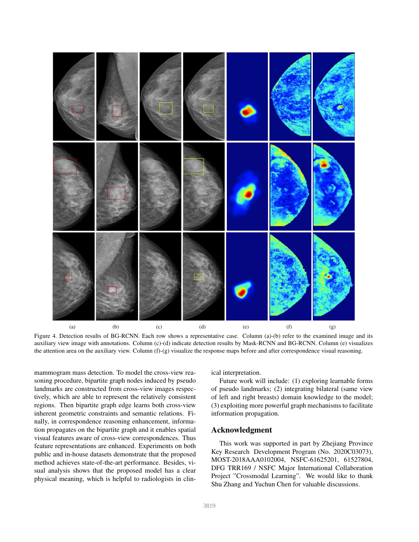

Figure 4. Detection results of BG-RCNN. Each row shows a representative case. Column (a)-(b) refer to the examined image and its auxiliary view image with annotations. Column (c)-(d) indicate detection results by Mask-RCNN and BG-RCNN. Column (e) visualizes the attention area on the auxiliary view. Column (f)-(g) visualize the response maps before and after correspondence visual reasoning.

mammogram mass detection. To model the cross-view reasoning procedure, bipartite graph nodes induced by pseudo landmarks are constructed from cross-view images respectively, which are able to represent the relatively consistent regions. Then bipartite graph edge learns both cross-view inherent geometric constraints and semantic relations. Finally, in correspondence reasoning enhancement, information propagates on the bipartite graph and it enables spatial visual features aware of cross-view correspondences. Thus feature representations are enhanced. Experiments on both public and in-house datasets demonstrate that the proposed method achieves state-of-the-art performance. Besides, visual analysis shows that the proposed model has a clear physical meaning, which is helpful to radiologists in clinical interpretation.

Future work will include: (1) exploring learnable forms of pseudo landmarks; (2) integrating bilateral (same view of left and right breasts) domain knowledge to the model; (3) exploiting more powerful graph mechanisms to facilitate information propagation.

# Acknowledgment

This work was supported in part by Zhejiang Province Key Research Development Program (No. 2020C03073), MOST-2018AAA0102004, NSFC-61625201, 61527804, DFG TRR169 / NSFC Major International Collaboration Project "Crossmodal Learning". We would like to thank Shu Zhang and Yuchun Chen for valuable discussions.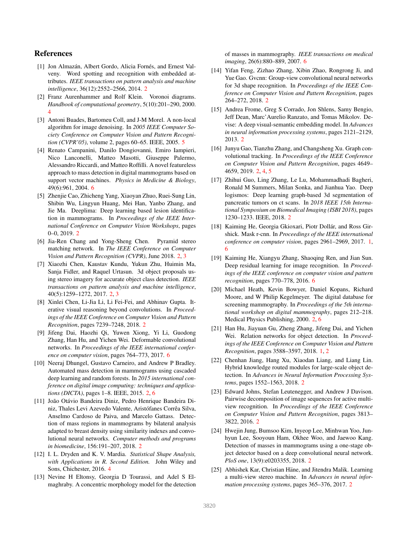# References

- [1] Jon Almazán, Albert Gordo, Alicia Fornés, and Ernest Valveny. Word spotting and recognition with embedded attributes. *IEEE transactions on pattern analysis and machine intelligence*, 36(12):2552–2566, 2014. 2
- [2] Franz Aurenhammer and Rolf Klein. Voronoi diagrams. *Handbook of computational geometry*, 5(10):201–290, 2000. 4
- [3] Antoni Buades, Bartomeu Coll, and J-M Morel. A non-local algorithm for image denoising. In *2005 IEEE Computer Society Conference on Computer Vision and Pattern Recognition (CVPR'05)*, volume 2, pages 60–65. IEEE, 2005. 5
- [4] Renato Campanini, Danilo Dongiovanni, Emiro Iampieri, Nico Lanconelli, Matteo Masotti, Giuseppe Palermo, Alessandro Riccardi, and Matteo Roffilli. A novel featureless approach to mass detection in digital mammograms based on support vector machines. *Physics in Medicine & Biology*, 49(6):961, 2004. 6
- [5] Zhenjie Cao, Zhicheng Yang, Xiaoyan Zhuo, Ruei-Sung Lin, Shibin Wu, Lingyun Huang, Mei Han, Yanbo Zhang, and Jie Ma. Deeplima: Deep learning based lesion identification in mammograms. In *Proceedings of the IEEE International Conference on Computer Vision Workshops*, pages 0–0, 2019. 2
- [6] Jia-Ren Chang and Yong-Sheng Chen. Pyramid stereo matching network. In *The IEEE Conference on Computer Vision and Pattern Recognition (CVPR)*, June 2018. 2, 3
- [7] Xiaozhi Chen, Kaustav Kundu, Yukun Zhu, Huimin Ma, Sanja Fidler, and Raquel Urtasun. 3d object proposals using stereo imagery for accurate object class detection. *IEEE transactions on pattern analysis and machine intelligence*, 40(5):1259–1272, 2017. 2, 3
- [8] Xinlei Chen, Li-Jia Li, Li Fei-Fei, and Abhinav Gupta. Iterative visual reasoning beyond convolutions. In *Proceedings of the IEEE Conference on Computer Vision and Pattern Recognition*, pages 7239–7248, 2018. 2
- [9] Jifeng Dai, Haozhi Qi, Yuwen Xiong, Yi Li, Guodong Zhang, Han Hu, and Yichen Wei. Deformable convolutional networks. In *Proceedings of the IEEE international conference on computer vision*, pages 764–773, 2017. 6
- [10] Neeraj Dhungel, Gustavo Carneiro, and Andrew P Bradley. Automated mass detection in mammograms using cascaded deep learning and random forests. In *2015 international conference on digital image computing: techniques and applications (DICTA)*, pages 1–8. IEEE, 2015. 2, 6
- [11] João Otávio Bandeira Diniz, Pedro Henrique Bandeira Diniz, Thales Levi Azevedo Valente, Aristófanes Corrêa Silva, Anselmo Cardoso de Paiva, and Marcelo Gattass. Detection of mass regions in mammograms by bilateral analysis adapted to breast density using similarity indexes and convolutional neural networks. *Computer methods and programs in biomedicine*, 156:191–207, 2018. 2
- [12] I. L. Dryden and K. V. Mardia. *Statistical Shape Analysis, with Applications in R. Second Edition.* John Wiley and Sons, Chichester, 2016. 4
- [13] Nevine H Eltonsy, Georgia D Tourassi, and Adel S Elmaghraby. A concentric morphology model for the detection

of masses in mammography. *IEEE transactions on medical imaging*, 26(6):880–889, 2007. 6

- [14] Yifan Feng, Zizhao Zhang, Xibin Zhao, Rongrong Ji, and Yue Gao. Gvcnn: Group-view convolutional neural networks for 3d shape recognition. In *Proceedings of the IEEE Conference on Computer Vision and Pattern Recognition*, pages 264–272, 2018. 2
- [15] Andrea Frome, Greg S Corrado, Jon Shlens, Samy Bengio, Jeff Dean, Marc'Aurelio Ranzato, and Tomas Mikolov. Devise: A deep visual-semantic embedding model. In *Advances in neural information processing systems*, pages 2121–2129, 2013. 2
- [16] Junyu Gao, Tianzhu Zhang, and Changsheng Xu. Graph convolutional tracking. In *Proceedings of the IEEE Conference on Computer Vision and Pattern Recognition*, pages 4649– 4659, 2019. 2, 4, 5
- [17] Zhihui Guo, Ling Zhang, Le Lu, Mohammadhadi Bagheri, Ronald M Summers, Milan Sonka, and Jianhua Yao. Deep logismos: Deep learning graph-based 3d segmentation of pancreatic tumors on ct scans. In *2018 IEEE 15th International Symposium on Biomedical Imaging (ISBI 2018)*, pages 1230–1233. IEEE, 2018. 2
- [18] Kaiming He, Georgia Gkioxari, Piotr Dollár, and Ross Girshick. Mask r-cnn. In *Proceedings of the IEEE international conference on computer vision*, pages 2961–2969, 2017. 1, 6
- [19] Kaiming He, Xiangyu Zhang, Shaoqing Ren, and Jian Sun. Deep residual learning for image recognition. In *Proceedings of the IEEE conference on computer vision and pattern recognition*, pages 770–778, 2016. 6
- [20] Michael Heath, Kevin Bowyer, Daniel Kopans, Richard Moore, and W Philip Kegelmeyer. The digital database for screening mammography. In *Proceedings of the 5th international workshop on digital mammography*, pages 212–218. Medical Physics Publishing, 2000. 2, 6
- [21] Han Hu, Jiayuan Gu, Zheng Zhang, Jifeng Dai, and Yichen Wei. Relation networks for object detection. In *Proceedings of the IEEE Conference on Computer Vision and Pattern Recognition*, pages 3588–3597, 2018. 1, 2
- [22] Chenhan Jiang, Hang Xu, Xiaodan Liang, and Liang Lin. Hybrid knowledge routed modules for large-scale object detection. In *Advances in Neural Information Processing Systems*, pages 1552–1563, 2018. 2
- [23] Edward Johns, Stefan Leutenegger, and Andrew J Davison. Pairwise decomposition of image sequences for active multiview recognition. In *Proceedings of the IEEE Conference on Computer Vision and Pattern Recognition*, pages 3813– 3822, 2016. 2
- [24] Hwejin Jung, Bumsoo Kim, Inyeop Lee, Minhwan Yoo, Junhyun Lee, Sooyoun Ham, Okhee Woo, and Jaewoo Kang. Detection of masses in mammograms using a one-stage object detector based on a deep convolutional neural network. *PloS one*, 13(9):e0203355, 2018. 2
- [25] Abhishek Kar, Christian Häne, and Jitendra Malik. Learning a multi-view stereo machine. In *Advances in neural information processing systems*, pages 365–376, 2017. 2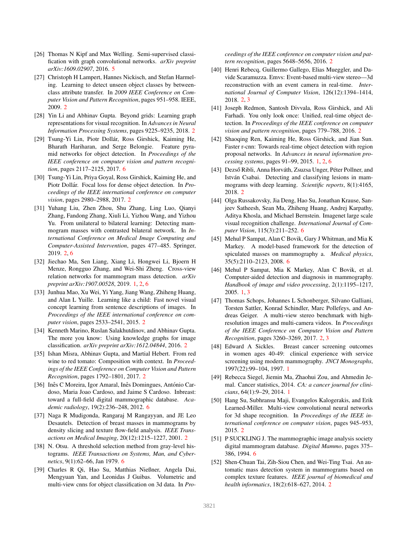- [26] Thomas N Kipf and Max Welling. Semi-supervised classification with graph convolutional networks. *arXiv preprint arXiv:1609.02907*, 2016. 5
- [27] Christoph H Lampert, Hannes Nickisch, and Stefan Harmeling. Learning to detect unseen object classes by betweenclass attribute transfer. In *2009 IEEE Conference on Computer Vision and Pattern Recognition*, pages 951–958. IEEE, 2009. 2
- [28] Yin Li and Abhinav Gupta. Beyond grids: Learning graph representations for visual recognition. In *Advances in Neural Information Processing Systems*, pages 9225–9235, 2018. 2
- [29] Tsung-Yi Lin, Piotr Dollár, Ross Girshick, Kaiming He, Bharath Hariharan, and Serge Belongie. Feature pyramid networks for object detection. In *Proceedings of the IEEE conference on computer vision and pattern recognition*, pages 2117–2125, 2017. 6
- [30] Tsung-Yi Lin, Priya Goyal, Ross Girshick, Kaiming He, and Piotr Dollár. Focal loss for dense object detection. In Pro*ceedings of the IEEE international conference on computer vision*, pages 2980–2988, 2017. 2
- [31] Yuhang Liu, Zhen Zhou, Shu Zhang, Ling Luo, Qianyi Zhang, Fandong Zhang, Xiuli Li, Yizhou Wang, and Yizhou Yu. From unilateral to bilateral learning: Detecting mammogram masses with contrasted bilateral network. In *International Conference on Medical Image Computing and Computer-Assisted Intervention*, pages 477–485. Springer, 2019. 2, 6
- [32] Jiechao Ma, Sen Liang, Xiang Li, Hongwei Li, Bjoern H Menze, Rongguo Zhang, and Wei-Shi Zheng. Cross-view relation networks for mammogram mass detection. *arXiv preprint arXiv:1907.00528*, 2019. 1, 2, 6
- [33] Junhua Mao, Xu Wei, Yi Yang, Jiang Wang, Zhiheng Huang, and Alan L Yuille. Learning like a child: Fast novel visual concept learning from sentence descriptions of images. In *Proceedings of the IEEE international conference on computer vision*, pages 2533–2541, 2015. 2
- [34] Kenneth Marino, Ruslan Salakhutdinov, and Abhinav Gupta. The more you know: Using knowledge graphs for image classification. *arXiv preprint arXiv:1612.04844*, 2016. 2
- [35] Ishan Misra, Abhinav Gupta, and Martial Hebert. From red wine to red tomato: Composition with context. In *Proceedings of the IEEE Conference on Computer Vision and Pattern Recognition*, pages 1792–1801, 2017. 2
- [36] Inês C Moreira, Igor Amaral, Inês Domingues, António Cardoso, Maria Joao Cardoso, and Jaime S Cardoso. Inbreast: toward a full-field digital mammographic database. *Academic radiology*, 19(2):236–248, 2012. 6
- [37] Naga R Mudigonda, Rangaraj M Rangayyan, and JE Leo Desautels. Detection of breast masses in mammograms by density slicing and texture flow-field analysis. *IEEE Transactions on Medical Imaging*, 20(12):1215–1227, 2001. 2
- [38] N. Otsu. A threshold selection method from gray-level histograms. *IEEE Transactions on Systems, Man, and Cybernetics*, 9(1):62–66, Jan 1979. 6
- [39] Charles R Qi, Hao Su, Matthias Nießner, Angela Dai, Mengyuan Yan, and Leonidas J Guibas. Volumetric and multi-view cnns for object classification on 3d data. In *Pro-*

*ceedings of the IEEE conference on computer vision and pattern recognition*, pages 5648–5656, 2016. 2

- [40] Henri Rebecq, Guillermo Gallego, Elias Mueggler, and Davide Scaramuzza. Emvs: Event-based multi-view stereo—3d reconstruction with an event camera in real-time. *International Journal of Computer Vision*, 126(12):1394–1414, 2018. 2, 3
- [41] Joseph Redmon, Santosh Divvala, Ross Girshick, and Ali Farhadi. You only look once: Unified, real-time object detection. In *Proceedings of the IEEE conference on computer vision and pattern recognition*, pages 779–788, 2016. 2
- [42] Shaoqing Ren, Kaiming He, Ross Girshick, and Jian Sun. Faster r-cnn: Towards real-time object detection with region proposal networks. In *Advances in neural information processing systems*, pages 91–99, 2015. 1, 2, 6
- [43] Dezső Ribli, Anna Horváth, Zsuzsa Unger, Péter Pollner, and István Csabai. Detecting and classifying lesions in mammograms with deep learning. *Scientific reports*, 8(1):4165, 2018. 2
- [44] Olga Russakovsky, Jia Deng, Hao Su, Jonathan Krause, Sanjeev Satheesh, Sean Ma, Zhiheng Huang, Andrej Karpathy, Aditya Khosla, and Michael Bernstein. Imagenet large scale visual recognition challenge. *International Journal of Computer Vision*, 115(3):211–252. 6
- [45] Mehul P Sampat, Alan C Bovik, Gary J Whitman, and Mia K Markey. A model-based framework for the detection of spiculated masses on mammography a. *Medical physics*, 35(5):2110–2123, 2008. 6
- [46] Mehul P Sampat, Mia K Markey, Alan C Bovik, et al. Computer-aided detection and diagnosis in mammography. *Handbook of image and video processing*, 2(1):1195–1217, 2005. 1, 3
- [47] Thomas Schops, Johannes L Schonberger, Silvano Galliani, Torsten Sattler, Konrad Schindler, Marc Pollefeys, and Andreas Geiger. A multi-view stereo benchmark with highresolution images and multi-camera videos. In *Proceedings of the IEEE Conference on Computer Vision and Pattern Recognition*, pages 3260–3269, 2017. 2, 3
- [48] Edward A Sickles. Breast cancer screening outcomes in women ages 40-49: clinical experience with service screening using modern mammography. *JNCI Monographs*, 1997(22):99–104, 1997. 1
- [49] Rebecca Siegel, Jiemin Ma, Zhaohui Zou, and Ahmedin Jemal. Cancer statistics, 2014. *CA: a cancer journal for clinicians*, 64(1):9–29, 2014. 1
- [50] Hang Su, Subhransu Maji, Evangelos Kalogerakis, and Erik Learned-Miller. Multi-view convolutional neural networks for 3d shape recognition. In *Proceedings of the IEEE international conference on computer vision*, pages 945–953, 2015. 2
- [51] P SUCKLING J. The mammographic image analysis society digital mammogram database. *Digital Mammo*, pages 375– 386, 1994. 6
- [52] Shen-Chuan Tai, Zih-Siou Chen, and Wei-Ting Tsai. An automatic mass detection system in mammograms based on complex texture features. *IEEE journal of biomedical and health informatics*, 18(2):618–627, 2014. 2